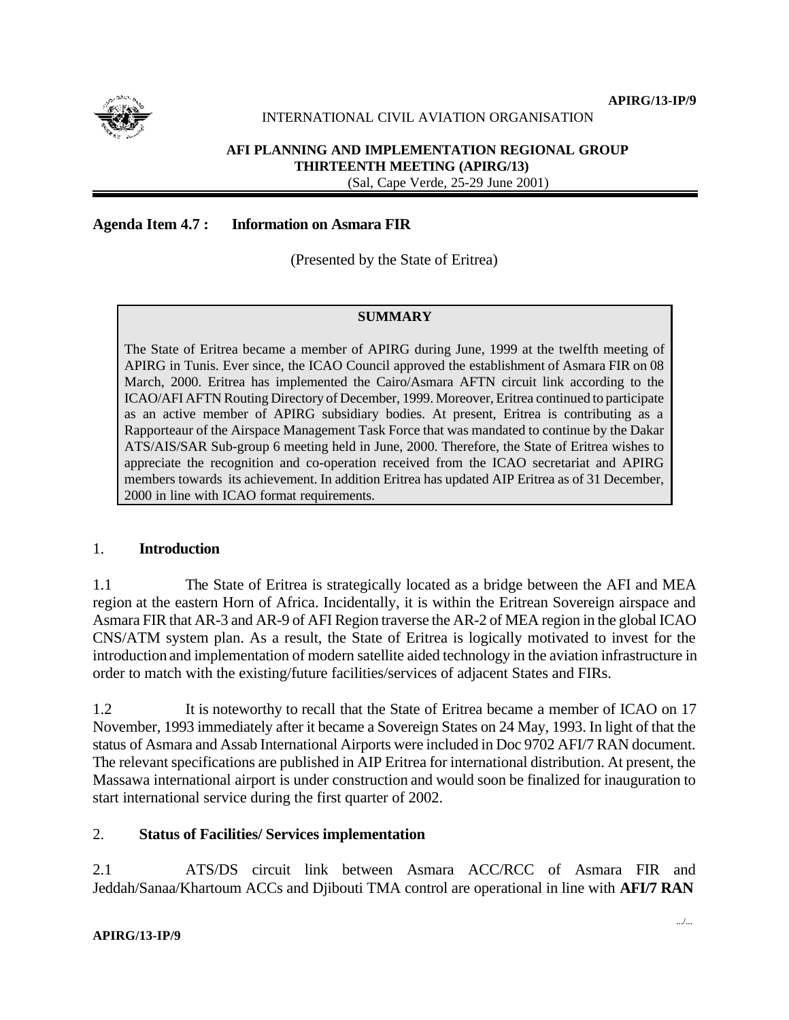

**APIRG/13-IP/9**

## INTERNATIONAL CIVIL AVIATION ORGANISATION

#### **AFI PLANNING AND IMPLEMENTATION REGIONAL GROUP THIRTEENTH MEETING (APIRG/13)** (Sal, Cape Verde, 25-29 June 2001)

### **Agenda Item 4.7 : Information on Asmara FIR**

(Presented by the State of Eritrea)

#### **SUMMARY**

The State of Eritrea became a member of APIRG during June, 1999 at the twelfth meeting of APIRG in Tunis. Ever since, the ICAO Council approved the establishment of Asmara FIR on 08 March, 2000. Eritrea has implemented the Cairo/Asmara AFTN circuit link according to the ICAO/AFI AFTN Routing Directory of December, 1999. Moreover, Eritrea continued to participate as an active member of APIRG subsidiary bodies. At present, Eritrea is contributing as a Rapporteaur of the Airspace Management Task Force that was mandated to continue by the Dakar ATS/AIS/SAR Sub-group 6 meeting held in June, 2000. Therefore, the State of Eritrea wishes to appreciate the recognition and co-operation received from the ICAO secretariat and APIRG members towards its achievement. In addition Eritrea has updated AIP Eritrea as of 31 December, 2000 in line with ICAO format requirements.

#### 1. **Introduction**

1.1 The State of Eritrea is strategically located as a bridge between the AFI and MEA region at the eastern Horn of Africa. Incidentally, it is within the Eritrean Sovereign airspace and Asmara FIR that AR-3 and AR-9 of AFI Region traverse the AR-2 of MEA region in the global ICAO CNS/ATM system plan. As a result, the State of Eritrea is logically motivated to invest for the introduction and implementation of modern satellite aided technology in the aviation infrastructure in order to match with the existing/future facilities/services of adjacent States and FIRs.

1.2 It is noteworthy to recall that the State of Eritrea became a member of ICAO on 17 November, 1993 immediately after it became a Sovereign States on 24 May, 1993. In light of that the status of Asmara and Assab International Airports were included in Doc 9702 AFI/7 RAN document. The relevant specifications are published in AIP Eritrea for international distribution. At present, the Massawa international airport is under construction and would soon be finalized for inauguration to start international service during the first quarter of 2002.

## 2. **Status of Facilities/ Services implementation**

2.1 ATS/DS circuit link between Asmara ACC/RCC of Asmara FIR and Jeddah/Sanaa/Khartoum ACCs and Djibouti TMA control are operational in line with **AFI/7 RAN**

#### **APIRG/13-IP/9**